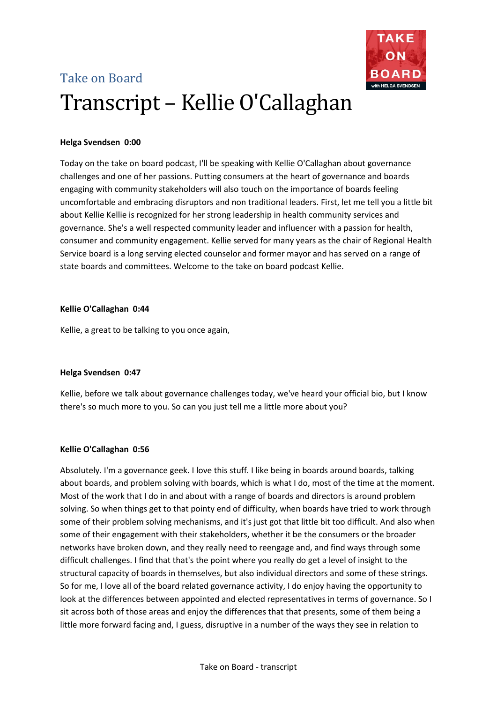



Today on the take on board podcast, I'll be speaking with Kellie O'Callaghan about governance challenges and one of her passions. Putting consumers at the heart of governance and boards engaging with community stakeholders will also touch on the importance of boards feeling uncomfortable and embracing disruptors and non traditional leaders. First, let me tell you a little bit about Kellie Kellie is recognized for her strong leadership in health community services and governance. She's a well respected community leader and influencer with a passion for health, consumer and community engagement. Kellie served for many years as the chair of Regional Health Service board is a long serving elected counselor and former mayor and has served on a range of state boards and committees. Welcome to the take on board podcast Kellie.

#### **Kellie O'Callaghan 0:44**

Kellie, a great to be talking to you once again,

# **Helga Svendsen 0:47**

Kellie, before we talk about governance challenges today, we've heard your official bio, but I know there's so much more to you. So can you just tell me a little more about you?

# **Kellie O'Callaghan 0:56**

Absolutely. I'm a governance geek. I love this stuff. I like being in boards around boards, talking about boards, and problem solving with boards, which is what I do, most of the time at the moment. Most of the work that I do in and about with a range of boards and directors is around problem solving. So when things get to that pointy end of difficulty, when boards have tried to work through some of their problem solving mechanisms, and it's just got that little bit too difficult. And also when some of their engagement with their stakeholders, whether it be the consumers or the broader networks have broken down, and they really need to reengage and, and find ways through some difficult challenges. I find that that's the point where you really do get a level of insight to the structural capacity of boards in themselves, but also individual directors and some of these strings. So for me, I love all of the board related governance activity, I do enjoy having the opportunity to look at the differences between appointed and elected representatives in terms of governance. So I sit across both of those areas and enjoy the differences that that presents, some of them being a little more forward facing and, I guess, disruptive in a number of the ways they see in relation to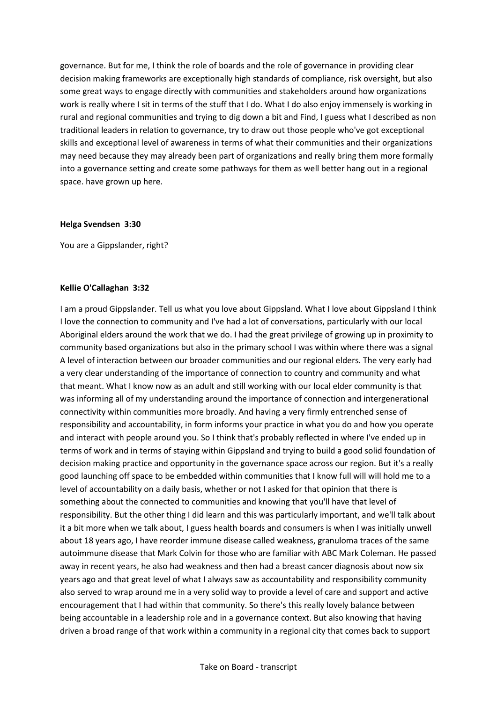governance. But for me, I think the role of boards and the role of governance in providing clear decision making frameworks are exceptionally high standards of compliance, risk oversight, but also some great ways to engage directly with communities and stakeholders around how organizations work is really where I sit in terms of the stuff that I do. What I do also enjoy immensely is working in rural and regional communities and trying to dig down a bit and Find, I guess what I described as non traditional leaders in relation to governance, try to draw out those people who've got exceptional skills and exceptional level of awareness in terms of what their communities and their organizations may need because they may already been part of organizations and really bring them more formally into a governance setting and create some pathways for them as well better hang out in a regional space. have grown up here.

#### **Helga Svendsen 3:30**

You are a Gippslander, right?

#### **Kellie O'Callaghan 3:32**

I am a proud Gippslander. Tell us what you love about Gippsland. What I love about Gippsland I think I love the connection to community and I've had a lot of conversations, particularly with our local Aboriginal elders around the work that we do. I had the great privilege of growing up in proximity to community based organizations but also in the primary school I was within where there was a signal A level of interaction between our broader communities and our regional elders. The very early had a very clear understanding of the importance of connection to country and community and what that meant. What I know now as an adult and still working with our local elder community is that was informing all of my understanding around the importance of connection and intergenerational connectivity within communities more broadly. And having a very firmly entrenched sense of responsibility and accountability, in form informs your practice in what you do and how you operate and interact with people around you. So I think that's probably reflected in where I've ended up in terms of work and in terms of staying within Gippsland and trying to build a good solid foundation of decision making practice and opportunity in the governance space across our region. But it's a really good launching off space to be embedded within communities that I know full will will hold me to a level of accountability on a daily basis, whether or not I asked for that opinion that there is something about the connected to communities and knowing that you'll have that level of responsibility. But the other thing I did learn and this was particularly important, and we'll talk about it a bit more when we talk about, I guess health boards and consumers is when I was initially unwell about 18 years ago, I have reorder immune disease called weakness, granuloma traces of the same autoimmune disease that Mark Colvin for those who are familiar with ABC Mark Coleman. He passed away in recent years, he also had weakness and then had a breast cancer diagnosis about now six years ago and that great level of what I always saw as accountability and responsibility community also served to wrap around me in a very solid way to provide a level of care and support and active encouragement that I had within that community. So there's this really lovely balance between being accountable in a leadership role and in a governance context. But also knowing that having driven a broad range of that work within a community in a regional city that comes back to support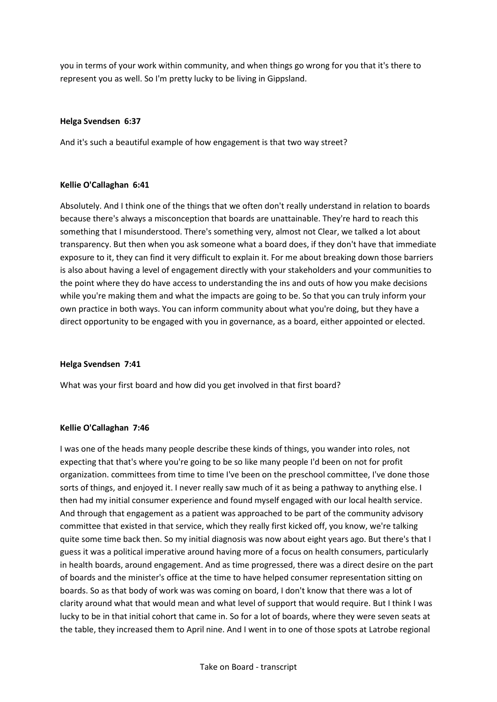you in terms of your work within community, and when things go wrong for you that it's there to represent you as well. So I'm pretty lucky to be living in Gippsland.

# **Helga Svendsen 6:37**

And it's such a beautiful example of how engagement is that two way street?

# **Kellie O'Callaghan 6:41**

Absolutely. And I think one of the things that we often don't really understand in relation to boards because there's always a misconception that boards are unattainable. They're hard to reach this something that I misunderstood. There's something very, almost not Clear, we talked a lot about transparency. But then when you ask someone what a board does, if they don't have that immediate exposure to it, they can find it very difficult to explain it. For me about breaking down those barriers is also about having a level of engagement directly with your stakeholders and your communities to the point where they do have access to understanding the ins and outs of how you make decisions while you're making them and what the impacts are going to be. So that you can truly inform your own practice in both ways. You can inform community about what you're doing, but they have a direct opportunity to be engaged with you in governance, as a board, either appointed or elected.

# **Helga Svendsen 7:41**

What was your first board and how did you get involved in that first board?

# **Kellie O'Callaghan 7:46**

I was one of the heads many people describe these kinds of things, you wander into roles, not expecting that that's where you're going to be so like many people I'd been on not for profit organization. committees from time to time I've been on the preschool committee, I've done those sorts of things, and enjoyed it. I never really saw much of it as being a pathway to anything else. I then had my initial consumer experience and found myself engaged with our local health service. And through that engagement as a patient was approached to be part of the community advisory committee that existed in that service, which they really first kicked off, you know, we're talking quite some time back then. So my initial diagnosis was now about eight years ago. But there's that I guess it was a political imperative around having more of a focus on health consumers, particularly in health boards, around engagement. And as time progressed, there was a direct desire on the part of boards and the minister's office at the time to have helped consumer representation sitting on boards. So as that body of work was was coming on board, I don't know that there was a lot of clarity around what that would mean and what level of support that would require. But I think I was lucky to be in that initial cohort that came in. So for a lot of boards, where they were seven seats at the table, they increased them to April nine. And I went in to one of those spots at Latrobe regional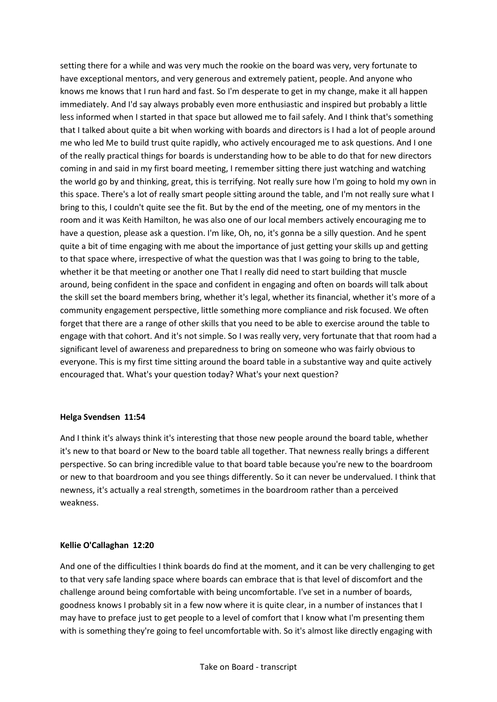setting there for a while and was very much the rookie on the board was very, very fortunate to have exceptional mentors, and very generous and extremely patient, people. And anyone who knows me knows that I run hard and fast. So I'm desperate to get in my change, make it all happen immediately. And I'd say always probably even more enthusiastic and inspired but probably a little less informed when I started in that space but allowed me to fail safely. And I think that's something that I talked about quite a bit when working with boards and directors is I had a lot of people around me who led Me to build trust quite rapidly, who actively encouraged me to ask questions. And I one of the really practical things for boards is understanding how to be able to do that for new directors coming in and said in my first board meeting, I remember sitting there just watching and watching the world go by and thinking, great, this is terrifying. Not really sure how I'm going to hold my own in this space. There's a lot of really smart people sitting around the table, and I'm not really sure what I bring to this, I couldn't quite see the fit. But by the end of the meeting, one of my mentors in the room and it was Keith Hamilton, he was also one of our local members actively encouraging me to have a question, please ask a question. I'm like, Oh, no, it's gonna be a silly question. And he spent quite a bit of time engaging with me about the importance of just getting your skills up and getting to that space where, irrespective of what the question was that I was going to bring to the table, whether it be that meeting or another one That I really did need to start building that muscle around, being confident in the space and confident in engaging and often on boards will talk about the skill set the board members bring, whether it's legal, whether its financial, whether it's more of a community engagement perspective, little something more compliance and risk focused. We often forget that there are a range of other skills that you need to be able to exercise around the table to engage with that cohort. And it's not simple. So I was really very, very fortunate that that room had a significant level of awareness and preparedness to bring on someone who was fairly obvious to everyone. This is my first time sitting around the board table in a substantive way and quite actively encouraged that. What's your question today? What's your next question?

# **Helga Svendsen 11:54**

And I think it's always think it's interesting that those new people around the board table, whether it's new to that board or New to the board table all together. That newness really brings a different perspective. So can bring incredible value to that board table because you're new to the boardroom or new to that boardroom and you see things differently. So it can never be undervalued. I think that newness, it's actually a real strength, sometimes in the boardroom rather than a perceived weakness.

# **Kellie O'Callaghan 12:20**

And one of the difficulties I think boards do find at the moment, and it can be very challenging to get to that very safe landing space where boards can embrace that is that level of discomfort and the challenge around being comfortable with being uncomfortable. I've set in a number of boards, goodness knows I probably sit in a few now where it is quite clear, in a number of instances that I may have to preface just to get people to a level of comfort that I know what I'm presenting them with is something they're going to feel uncomfortable with. So it's almost like directly engaging with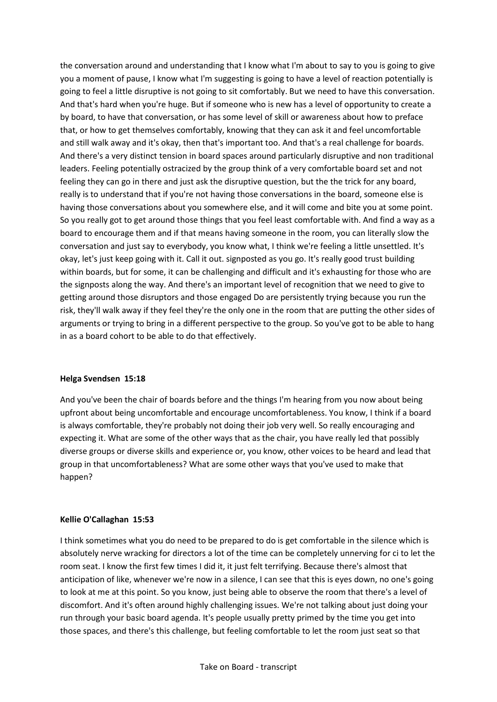the conversation around and understanding that I know what I'm about to say to you is going to give you a moment of pause, I know what I'm suggesting is going to have a level of reaction potentially is going to feel a little disruptive is not going to sit comfortably. But we need to have this conversation. And that's hard when you're huge. But if someone who is new has a level of opportunity to create a by board, to have that conversation, or has some level of skill or awareness about how to preface that, or how to get themselves comfortably, knowing that they can ask it and feel uncomfortable and still walk away and it's okay, then that's important too. And that's a real challenge for boards. And there's a very distinct tension in board spaces around particularly disruptive and non traditional leaders. Feeling potentially ostracized by the group think of a very comfortable board set and not feeling they can go in there and just ask the disruptive question, but the the trick for any board, really is to understand that if you're not having those conversations in the board, someone else is having those conversations about you somewhere else, and it will come and bite you at some point. So you really got to get around those things that you feel least comfortable with. And find a way as a board to encourage them and if that means having someone in the room, you can literally slow the conversation and just say to everybody, you know what, I think we're feeling a little unsettled. It's okay, let's just keep going with it. Call it out. signposted as you go. It's really good trust building within boards, but for some, it can be challenging and difficult and it's exhausting for those who are the signposts along the way. And there's an important level of recognition that we need to give to getting around those disruptors and those engaged Do are persistently trying because you run the risk, they'll walk away if they feel they're the only one in the room that are putting the other sides of arguments or trying to bring in a different perspective to the group. So you've got to be able to hang in as a board cohort to be able to do that effectively.

#### **Helga Svendsen 15:18**

And you've been the chair of boards before and the things I'm hearing from you now about being upfront about being uncomfortable and encourage uncomfortableness. You know, I think if a board is always comfortable, they're probably not doing their job very well. So really encouraging and expecting it. What are some of the other ways that as the chair, you have really led that possibly diverse groups or diverse skills and experience or, you know, other voices to be heard and lead that group in that uncomfortableness? What are some other ways that you've used to make that happen?

# **Kellie O'Callaghan 15:53**

I think sometimes what you do need to be prepared to do is get comfortable in the silence which is absolutely nerve wracking for directors a lot of the time can be completely unnerving for ci to let the room seat. I know the first few times I did it, it just felt terrifying. Because there's almost that anticipation of like, whenever we're now in a silence, I can see that this is eyes down, no one's going to look at me at this point. So you know, just being able to observe the room that there's a level of discomfort. And it's often around highly challenging issues. We're not talking about just doing your run through your basic board agenda. It's people usually pretty primed by the time you get into those spaces, and there's this challenge, but feeling comfortable to let the room just seat so that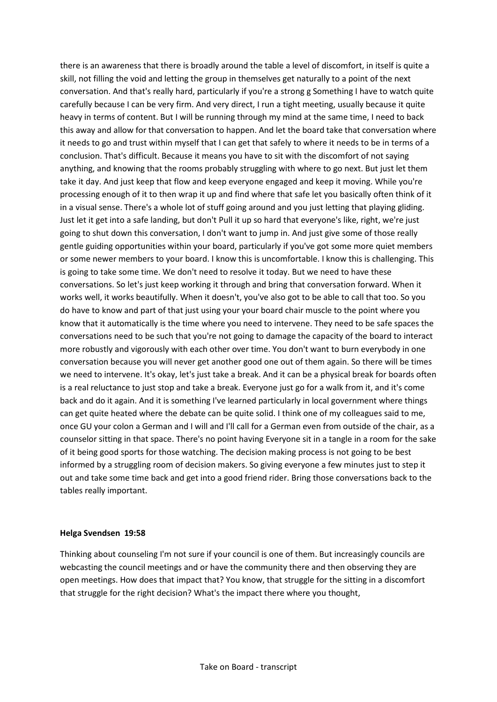there is an awareness that there is broadly around the table a level of discomfort, in itself is quite a skill, not filling the void and letting the group in themselves get naturally to a point of the next conversation. And that's really hard, particularly if you're a strong g Something I have to watch quite carefully because I can be very firm. And very direct, I run a tight meeting, usually because it quite heavy in terms of content. But I will be running through my mind at the same time, I need to back this away and allow for that conversation to happen. And let the board take that conversation where it needs to go and trust within myself that I can get that safely to where it needs to be in terms of a conclusion. That's difficult. Because it means you have to sit with the discomfort of not saying anything, and knowing that the rooms probably struggling with where to go next. But just let them take it day. And just keep that flow and keep everyone engaged and keep it moving. While you're processing enough of it to then wrap it up and find where that safe let you basically often think of it in a visual sense. There's a whole lot of stuff going around and you just letting that playing gliding. Just let it get into a safe landing, but don't Pull it up so hard that everyone's like, right, we're just going to shut down this conversation, I don't want to jump in. And just give some of those really gentle guiding opportunities within your board, particularly if you've got some more quiet members or some newer members to your board. I know this is uncomfortable. I know this is challenging. This is going to take some time. We don't need to resolve it today. But we need to have these conversations. So let's just keep working it through and bring that conversation forward. When it works well, it works beautifully. When it doesn't, you've also got to be able to call that too. So you do have to know and part of that just using your your board chair muscle to the point where you know that it automatically is the time where you need to intervene. They need to be safe spaces the conversations need to be such that you're not going to damage the capacity of the board to interact more robustly and vigorously with each other over time. You don't want to burn everybody in one conversation because you will never get another good one out of them again. So there will be times we need to intervene. It's okay, let's just take a break. And it can be a physical break for boards often is a real reluctance to just stop and take a break. Everyone just go for a walk from it, and it's come back and do it again. And it is something I've learned particularly in local government where things can get quite heated where the debate can be quite solid. I think one of my colleagues said to me, once GU your colon a German and I will and I'll call for a German even from outside of the chair, as a counselor sitting in that space. There's no point having Everyone sit in a tangle in a room for the sake of it being good sports for those watching. The decision making process is not going to be best informed by a struggling room of decision makers. So giving everyone a few minutes just to step it out and take some time back and get into a good friend rider. Bring those conversations back to the tables really important.

# **Helga Svendsen 19:58**

Thinking about counseling I'm not sure if your council is one of them. But increasingly councils are webcasting the council meetings and or have the community there and then observing they are open meetings. How does that impact that? You know, that struggle for the sitting in a discomfort that struggle for the right decision? What's the impact there where you thought,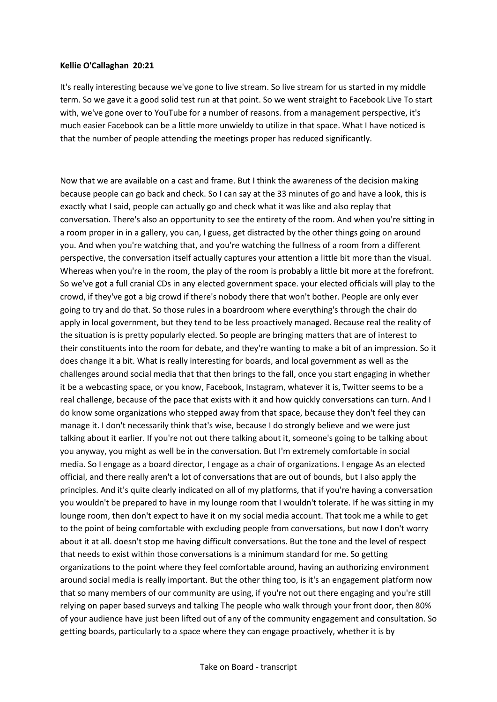#### **Kellie O'Callaghan 20:21**

It's really interesting because we've gone to live stream. So live stream for us started in my middle term. So we gave it a good solid test run at that point. So we went straight to Facebook Live To start with, we've gone over to YouTube for a number of reasons. from a management perspective, it's much easier Facebook can be a little more unwieldy to utilize in that space. What I have noticed is that the number of people attending the meetings proper has reduced significantly.

Now that we are available on a cast and frame. But I think the awareness of the decision making because people can go back and check. So I can say at the 33 minutes of go and have a look, this is exactly what I said, people can actually go and check what it was like and also replay that conversation. There's also an opportunity to see the entirety of the room. And when you're sitting in a room proper in in a gallery, you can, I guess, get distracted by the other things going on around you. And when you're watching that, and you're watching the fullness of a room from a different perspective, the conversation itself actually captures your attention a little bit more than the visual. Whereas when you're in the room, the play of the room is probably a little bit more at the forefront. So we've got a full cranial CDs in any elected government space. your elected officials will play to the crowd, if they've got a big crowd if there's nobody there that won't bother. People are only ever going to try and do that. So those rules in a boardroom where everything's through the chair do apply in local government, but they tend to be less proactively managed. Because real the reality of the situation is is pretty popularly elected. So people are bringing matters that are of interest to their constituents into the room for debate, and they're wanting to make a bit of an impression. So it does change it a bit. What is really interesting for boards, and local government as well as the challenges around social media that that then brings to the fall, once you start engaging in whether it be a webcasting space, or you know, Facebook, Instagram, whatever it is, Twitter seems to be a real challenge, because of the pace that exists with it and how quickly conversations can turn. And I do know some organizations who stepped away from that space, because they don't feel they can manage it. I don't necessarily think that's wise, because I do strongly believe and we were just talking about it earlier. If you're not out there talking about it, someone's going to be talking about you anyway, you might as well be in the conversation. But I'm extremely comfortable in social media. So I engage as a board director, I engage as a chair of organizations. I engage As an elected official, and there really aren't a lot of conversations that are out of bounds, but I also apply the principles. And it's quite clearly indicated on all of my platforms, that if you're having a conversation you wouldn't be prepared to have in my lounge room that I wouldn't tolerate. If he was sitting in my lounge room, then don't expect to have it on my social media account. That took me a while to get to the point of being comfortable with excluding people from conversations, but now I don't worry about it at all. doesn't stop me having difficult conversations. But the tone and the level of respect that needs to exist within those conversations is a minimum standard for me. So getting organizations to the point where they feel comfortable around, having an authorizing environment around social media is really important. But the other thing too, is it's an engagement platform now that so many members of our community are using, if you're not out there engaging and you're still relying on paper based surveys and talking The people who walk through your front door, then 80% of your audience have just been lifted out of any of the community engagement and consultation. So getting boards, particularly to a space where they can engage proactively, whether it is by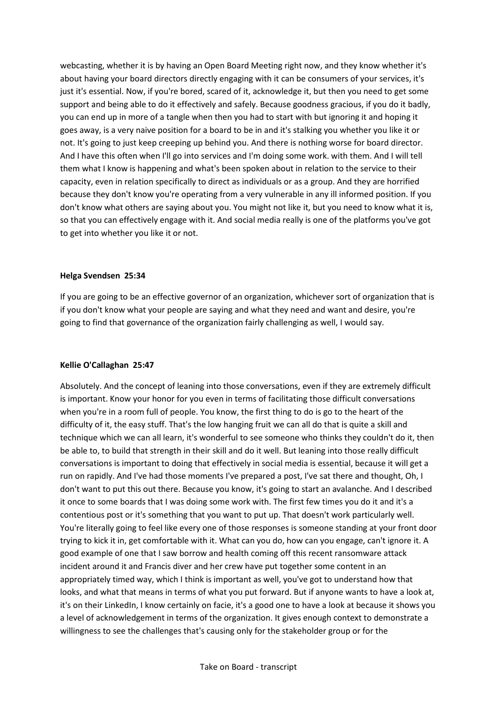webcasting, whether it is by having an Open Board Meeting right now, and they know whether it's about having your board directors directly engaging with it can be consumers of your services, it's just it's essential. Now, if you're bored, scared of it, acknowledge it, but then you need to get some support and being able to do it effectively and safely. Because goodness gracious, if you do it badly, you can end up in more of a tangle when then you had to start with but ignoring it and hoping it goes away, is a very naive position for a board to be in and it's stalking you whether you like it or not. It's going to just keep creeping up behind you. And there is nothing worse for board director. And I have this often when I'll go into services and I'm doing some work. with them. And I will tell them what I know is happening and what's been spoken about in relation to the service to their capacity, even in relation specifically to direct as individuals or as a group. And they are horrified because they don't know you're operating from a very vulnerable in any ill informed position. If you don't know what others are saying about you. You might not like it, but you need to know what it is, so that you can effectively engage with it. And social media really is one of the platforms you've got to get into whether you like it or not.

#### **Helga Svendsen 25:34**

If you are going to be an effective governor of an organization, whichever sort of organization that is if you don't know what your people are saying and what they need and want and desire, you're going to find that governance of the organization fairly challenging as well, I would say.

#### **Kellie O'Callaghan 25:47**

Absolutely. And the concept of leaning into those conversations, even if they are extremely difficult is important. Know your honor for you even in terms of facilitating those difficult conversations when you're in a room full of people. You know, the first thing to do is go to the heart of the difficulty of it, the easy stuff. That's the low hanging fruit we can all do that is quite a skill and technique which we can all learn, it's wonderful to see someone who thinks they couldn't do it, then be able to, to build that strength in their skill and do it well. But leaning into those really difficult conversations is important to doing that effectively in social media is essential, because it will get a run on rapidly. And I've had those moments I've prepared a post, I've sat there and thought, Oh, I don't want to put this out there. Because you know, it's going to start an avalanche. And I described it once to some boards that I was doing some work with. The first few times you do it and it's a contentious post or it's something that you want to put up. That doesn't work particularly well. You're literally going to feel like every one of those responses is someone standing at your front door trying to kick it in, get comfortable with it. What can you do, how can you engage, can't ignore it. A good example of one that I saw borrow and health coming off this recent ransomware attack incident around it and Francis diver and her crew have put together some content in an appropriately timed way, which I think is important as well, you've got to understand how that looks, and what that means in terms of what you put forward. But if anyone wants to have a look at, it's on their LinkedIn, I know certainly on facie, it's a good one to have a look at because it shows you a level of acknowledgement in terms of the organization. It gives enough context to demonstrate a willingness to see the challenges that's causing only for the stakeholder group or for the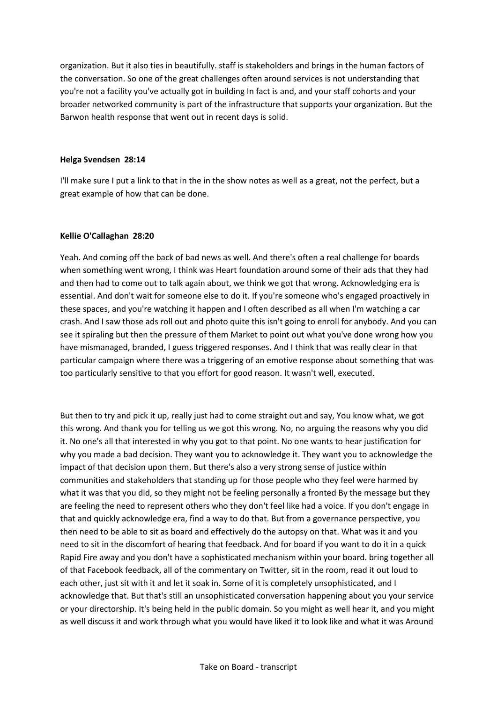organization. But it also ties in beautifully. staff is stakeholders and brings in the human factors of the conversation. So one of the great challenges often around services is not understanding that you're not a facility you've actually got in building In fact is and, and your staff cohorts and your broader networked community is part of the infrastructure that supports your organization. But the Barwon health response that went out in recent days is solid.

# **Helga Svendsen 28:14**

I'll make sure I put a link to that in the in the show notes as well as a great, not the perfect, but a great example of how that can be done.

#### **Kellie O'Callaghan 28:20**

Yeah. And coming off the back of bad news as well. And there's often a real challenge for boards when something went wrong, I think was Heart foundation around some of their ads that they had and then had to come out to talk again about, we think we got that wrong. Acknowledging era is essential. And don't wait for someone else to do it. If you're someone who's engaged proactively in these spaces, and you're watching it happen and I often described as all when I'm watching a car crash. And I saw those ads roll out and photo quite this isn't going to enroll for anybody. And you can see it spiraling but then the pressure of them Market to point out what you've done wrong how you have mismanaged, branded, I guess triggered responses. And I think that was really clear in that particular campaign where there was a triggering of an emotive response about something that was too particularly sensitive to that you effort for good reason. It wasn't well, executed.

But then to try and pick it up, really just had to come straight out and say, You know what, we got this wrong. And thank you for telling us we got this wrong. No, no arguing the reasons why you did it. No one's all that interested in why you got to that point. No one wants to hear justification for why you made a bad decision. They want you to acknowledge it. They want you to acknowledge the impact of that decision upon them. But there's also a very strong sense of justice within communities and stakeholders that standing up for those people who they feel were harmed by what it was that you did, so they might not be feeling personally a fronted By the message but they are feeling the need to represent others who they don't feel like had a voice. If you don't engage in that and quickly acknowledge era, find a way to do that. But from a governance perspective, you then need to be able to sit as board and effectively do the autopsy on that. What was it and you need to sit in the discomfort of hearing that feedback. And for board if you want to do it in a quick Rapid Fire away and you don't have a sophisticated mechanism within your board. bring together all of that Facebook feedback, all of the commentary on Twitter, sit in the room, read it out loud to each other, just sit with it and let it soak in. Some of it is completely unsophisticated, and I acknowledge that. But that's still an unsophisticated conversation happening about you your service or your directorship. It's being held in the public domain. So you might as well hear it, and you might as well discuss it and work through what you would have liked it to look like and what it was Around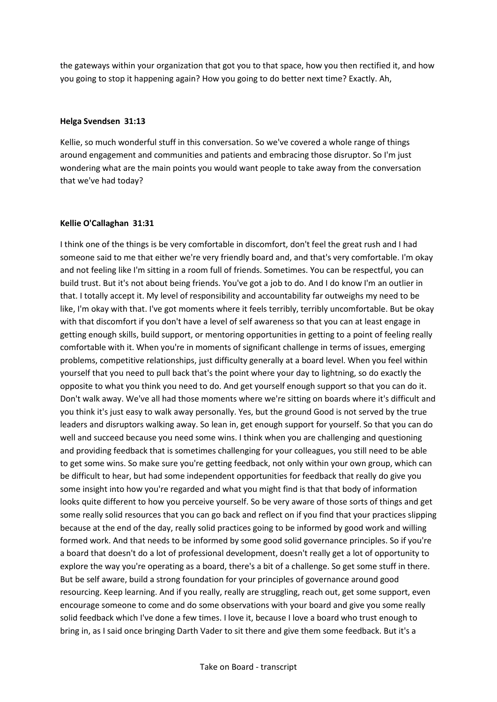the gateways within your organization that got you to that space, how you then rectified it, and how you going to stop it happening again? How you going to do better next time? Exactly. Ah,

#### **Helga Svendsen 31:13**

Kellie, so much wonderful stuff in this conversation. So we've covered a whole range of things around engagement and communities and patients and embracing those disruptor. So I'm just wondering what are the main points you would want people to take away from the conversation that we've had today?

#### **Kellie O'Callaghan 31:31**

I think one of the things is be very comfortable in discomfort, don't feel the great rush and I had someone said to me that either we're very friendly board and, and that's very comfortable. I'm okay and not feeling like I'm sitting in a room full of friends. Sometimes. You can be respectful, you can build trust. But it's not about being friends. You've got a job to do. And I do know I'm an outlier in that. I totally accept it. My level of responsibility and accountability far outweighs my need to be like, I'm okay with that. I've got moments where it feels terribly, terribly uncomfortable. But be okay with that discomfort if you don't have a level of self awareness so that you can at least engage in getting enough skills, build support, or mentoring opportunities in getting to a point of feeling really comfortable with it. When you're in moments of significant challenge in terms of issues, emerging problems, competitive relationships, just difficulty generally at a board level. When you feel within yourself that you need to pull back that's the point where your day to lightning, so do exactly the opposite to what you think you need to do. And get yourself enough support so that you can do it. Don't walk away. We've all had those moments where we're sitting on boards where it's difficult and you think it's just easy to walk away personally. Yes, but the ground Good is not served by the true leaders and disruptors walking away. So lean in, get enough support for yourself. So that you can do well and succeed because you need some wins. I think when you are challenging and questioning and providing feedback that is sometimes challenging for your colleagues, you still need to be able to get some wins. So make sure you're getting feedback, not only within your own group, which can be difficult to hear, but had some independent opportunities for feedback that really do give you some insight into how you're regarded and what you might find is that that body of information looks quite different to how you perceive yourself. So be very aware of those sorts of things and get some really solid resources that you can go back and reflect on if you find that your practices slipping because at the end of the day, really solid practices going to be informed by good work and willing formed work. And that needs to be informed by some good solid governance principles. So if you're a board that doesn't do a lot of professional development, doesn't really get a lot of opportunity to explore the way you're operating as a board, there's a bit of a challenge. So get some stuff in there. But be self aware, build a strong foundation for your principles of governance around good resourcing. Keep learning. And if you really, really are struggling, reach out, get some support, even encourage someone to come and do some observations with your board and give you some really solid feedback which I've done a few times. I love it, because I love a board who trust enough to bring in, as I said once bringing Darth Vader to sit there and give them some feedback. But it's a